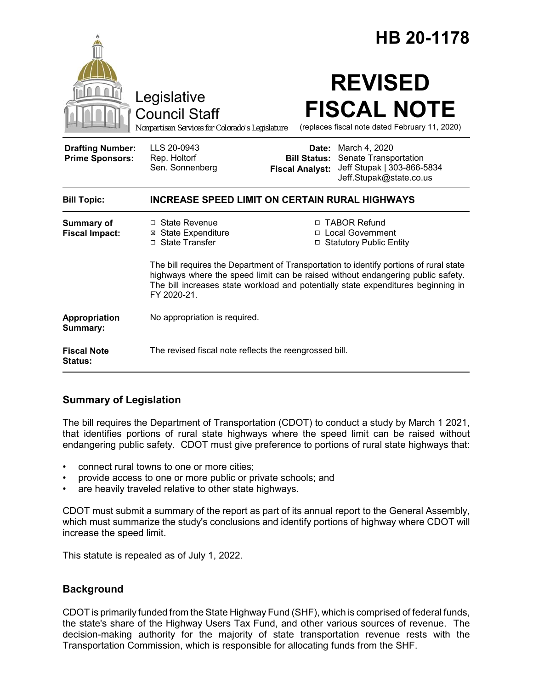|                                                   | Legislative<br><b>Council Staff</b><br>Nonpartisan Services for Colorado's Legislature                                                                                                                                                                                        |                                               | HB 20-1178<br><b>REVISED</b><br><b>FISCAL NOTE</b><br>(replaces fiscal note dated February 11, 2020)         |
|---------------------------------------------------|-------------------------------------------------------------------------------------------------------------------------------------------------------------------------------------------------------------------------------------------------------------------------------|-----------------------------------------------|--------------------------------------------------------------------------------------------------------------|
| <b>Drafting Number:</b><br><b>Prime Sponsors:</b> | LLS 20-0943<br>Rep. Holtorf<br>Sen. Sonnenberg                                                                                                                                                                                                                                | <b>Bill Status:</b><br><b>Fiscal Analyst:</b> | <b>Date:</b> March 4, 2020<br>Senate Transportation<br>Jeff Stupak   303-866-5834<br>Jeff.Stupak@state.co.us |
| <b>Bill Topic:</b>                                | <b>INCREASE SPEED LIMIT ON CERTAIN RURAL HIGHWAYS</b>                                                                                                                                                                                                                         |                                               |                                                                                                              |
| <b>Summary of</b><br><b>Fiscal Impact:</b>        | □ State Revenue<br><b>⊠</b> State Expenditure<br>□ State Transfer                                                                                                                                                                                                             |                                               | □ TABOR Refund<br>□ Local Government<br>□ Statutory Public Entity                                            |
|                                                   | The bill requires the Department of Transportation to identify portions of rural state<br>highways where the speed limit can be raised without endangering public safety.<br>The bill increases state workload and potentially state expenditures beginning in<br>FY 2020-21. |                                               |                                                                                                              |
| Appropriation<br>Summary:                         | No appropriation is required.                                                                                                                                                                                                                                                 |                                               |                                                                                                              |
| <b>Fiscal Note</b><br>Status:                     | The revised fiscal note reflects the reengrossed bill.                                                                                                                                                                                                                        |                                               |                                                                                                              |

# **Summary of Legislation**

The bill requires the Department of Transportation (CDOT) to conduct a study by March 1 2021, that identifies portions of rural state highways where the speed limit can be raised without endangering public safety. CDOT must give preference to portions of rural state highways that:

- connect rural towns to one or more cities;
- provide access to one or more public or private schools; and
- are heavily traveled relative to other state highways.

CDOT must submit a summary of the report as part of its annual report to the General Assembly, which must summarize the study's conclusions and identify portions of highway where CDOT will increase the speed limit.

This statute is repealed as of July 1, 2022.

# **Background**

CDOT is primarily funded from the State Highway Fund (SHF), which is comprised of federal funds, the state's share of the Highway Users Tax Fund, and other various sources of revenue. The decision-making authority for the majority of state transportation revenue rests with the Transportation Commission, which is responsible for allocating funds from the SHF.